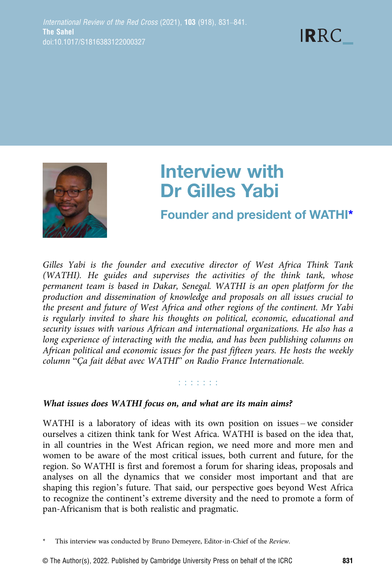

# Interview with Dr Gilles Yabi

# Founder and president of WATHI\*

Gilles Yabi is the founder and executive director of West Africa Think Tank (WATHI). He guides and supervises the activities of the think tank, whose permanent team is based in Dakar, Senegal. WATHI is an open platform for the production and dissemination of knowledge and proposals on all issues crucial to the present and future of West Africa and other regions of the continent. Mr Yabi is regularly invited to share his thoughts on political, economic, educational and security issues with various African and international organizations. He also has a long experience of interacting with the media, and has been publishing columns on African political and economic issues for the past fifteen years. He hosts the weekly column "Ça fait débat avec WATHI" on Radio France Internationale.

# **Editoria**

## What issues does WATHI focus on, and what are its main aims?

WATHI is a laboratory of ideas with its own position on issues – we consider ourselves a citizen think tank for West Africa. WATHI is based on the idea that, in all countries in the West African region, we need more and more men and women to be aware of the most critical issues, both current and future, for the region. So WATHI is first and foremost a forum for sharing ideas, proposals and analyses on all the dynamics that we consider most important and that are shaping this region's future. That said, our perspective goes beyond West Africa to recognize the continent's extreme diversity and the need to promote a form of pan-Africanism that is both realistic and pragmatic.

This interview was conducted by Bruno Demeyere, Editor-in-Chief of the Review.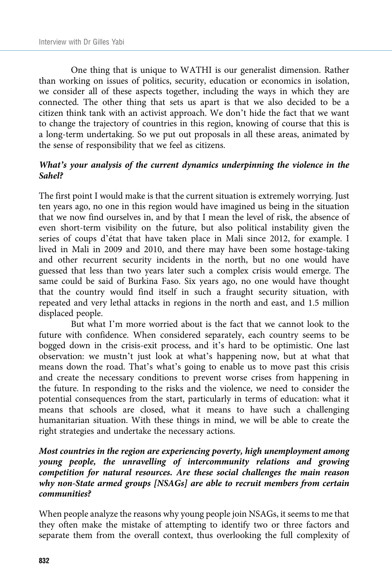One thing that is unique to WATHI is our generalist dimension. Rather than working on issues of politics, security, education or economics in isolation, we consider all of these aspects together, including the ways in which they are connected. The other thing that sets us apart is that we also decided to be a citizen think tank with an activist approach. We don't hide the fact that we want to change the trajectory of countries in this region, knowing of course that this is a long-term undertaking. So we put out proposals in all these areas, animated by the sense of responsibility that we feel as citizens.

## What's your analysis of the current dynamics underpinning the violence in the Sahel?

The first point I would make is that the current situation is extremely worrying. Just ten years ago, no one in this region would have imagined us being in the situation that we now find ourselves in, and by that I mean the level of risk, the absence of even short-term visibility on the future, but also political instability given the series of coups d'état that have taken place in Mali since 2012, for example. I lived in Mali in 2009 and 2010, and there may have been some hostage-taking and other recurrent security incidents in the north, but no one would have guessed that less than two years later such a complex crisis would emerge. The same could be said of Burkina Faso. Six years ago, no one would have thought that the country would find itself in such a fraught security situation, with repeated and very lethal attacks in regions in the north and east, and 1.5 million displaced people.

But what I'm more worried about is the fact that we cannot look to the future with confidence. When considered separately, each country seems to be bogged down in the crisis-exit process, and it's hard to be optimistic. One last observation: we mustn't just look at what's happening now, but at what that means down the road. That's what's going to enable us to move past this crisis and create the necessary conditions to prevent worse crises from happening in the future. In responding to the risks and the violence, we need to consider the potential consequences from the start, particularly in terms of education: what it means that schools are closed, what it means to have such a challenging humanitarian situation. With these things in mind, we will be able to create the right strategies and undertake the necessary actions.

# Most countries in the region are experiencing poverty, high unemployment among young people, the unravelling of intercommunity relations and growing competition for natural resources. Are these social challenges the main reason why non-State armed groups [NSAGs] are able to recruit members from certain communities?

When people analyze the reasons why young people join NSAGs, it seems to me that they often make the mistake of attempting to identify two or three factors and separate them from the overall context, thus overlooking the full complexity of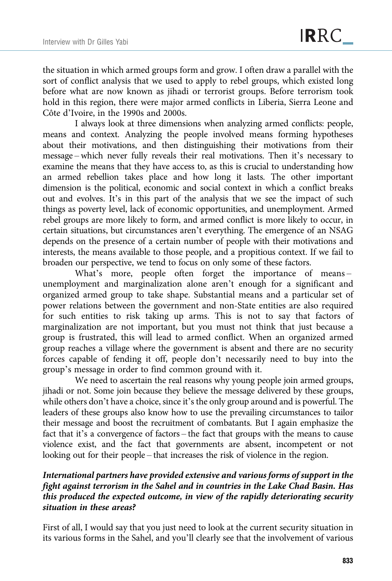the situation in which armed groups form and grow. I often draw a parallel with the sort of conflict analysis that we used to apply to rebel groups, which existed long before what are now known as jihadi or terrorist groups. Before terrorism took hold in this region, there were major armed conflicts in Liberia, Sierra Leone and Côte d'Ivoire, in the 1990s and 2000s.

I always look at three dimensions when analyzing armed conflicts: people, means and context. Analyzing the people involved means forming hypotheses about their motivations, and then distinguishing their motivations from their message – which never fully reveals their real motivations. Then it's necessary to examine the means that they have access to, as this is crucial to understanding how an armed rebellion takes place and how long it lasts. The other important dimension is the political, economic and social context in which a conflict breaks out and evolves. It's in this part of the analysis that we see the impact of such things as poverty level, lack of economic opportunities, and unemployment. Armed rebel groups are more likely to form, and armed conflict is more likely to occur, in certain situations, but circumstances aren't everything. The emergence of an NSAG depends on the presence of a certain number of people with their motivations and interests, the means available to those people, and a propitious context. If we fail to broaden our perspective, we tend to focus on only some of these factors.

What's more, people often forget the importance of means – unemployment and marginalization alone aren't enough for a significant and organized armed group to take shape. Substantial means and a particular set of power relations between the government and non-State entities are also required for such entities to risk taking up arms. This is not to say that factors of marginalization are not important, but you must not think that just because a group is frustrated, this will lead to armed conflict. When an organized armed group reaches a village where the government is absent and there are no security forces capable of fending it off, people don't necessarily need to buy into the group's message in order to find common ground with it.

We need to ascertain the real reasons why young people join armed groups, jihadi or not. Some join because they believe the message delivered by these groups, while others don't have a choice, since it's the only group around and is powerful. The leaders of these groups also know how to use the prevailing circumstances to tailor their message and boost the recruitment of combatants. But I again emphasize the fact that it's a convergence of factors – the fact that groups with the means to cause violence exist, and the fact that governments are absent, incompetent or not looking out for their people – that increases the risk of violence in the region.

# International partners have provided extensive and various forms of support in the fight against terrorism in the Sahel and in countries in the Lake Chad Basin. Has this produced the expected outcome, in view of the rapidly deteriorating security situation in these areas?

First of all, I would say that you just need to look at the current security situation in its various forms in the Sahel, and you'll clearly see that the involvement of various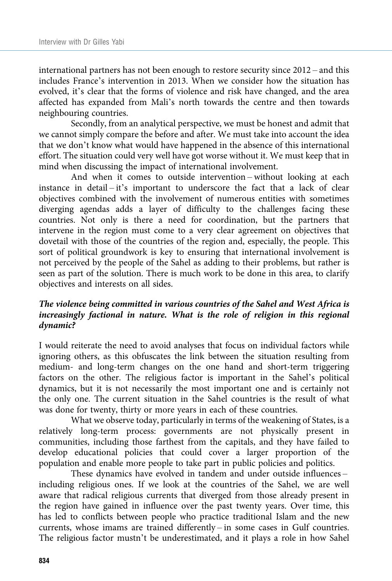international partners has not been enough to restore security since 2012 – and this includes France's intervention in 2013. When we consider how the situation has evolved, it's clear that the forms of violence and risk have changed, and the area affected has expanded from Mali's north towards the centre and then towards neighbouring countries.

Secondly, from an analytical perspective, we must be honest and admit that we cannot simply compare the before and after. We must take into account the idea that we don't know what would have happened in the absence of this international effort. The situation could very well have got worse without it. We must keep that in mind when discussing the impact of international involvement.

And when it comes to outside intervention – without looking at each instance in detail – it's important to underscore the fact that a lack of clear objectives combined with the involvement of numerous entities with sometimes diverging agendas adds a layer of difficulty to the challenges facing these countries. Not only is there a need for coordination, but the partners that intervene in the region must come to a very clear agreement on objectives that dovetail with those of the countries of the region and, especially, the people. This sort of political groundwork is key to ensuring that international involvement is not perceived by the people of the Sahel as adding to their problems, but rather is seen as part of the solution. There is much work to be done in this area, to clarify objectives and interests on all sides.

# The violence being committed in various countries of the Sahel and West Africa is increasingly factional in nature. What is the role of religion in this regional dynamic?

I would reiterate the need to avoid analyses that focus on individual factors while ignoring others, as this obfuscates the link between the situation resulting from medium- and long-term changes on the one hand and short-term triggering factors on the other. The religious factor is important in the Sahel's political dynamics, but it is not necessarily the most important one and is certainly not the only one. The current situation in the Sahel countries is the result of what was done for twenty, thirty or more years in each of these countries.

What we observe today, particularly in terms of the weakening of States, is a relatively long-term process: governments are not physically present in communities, including those farthest from the capitals, and they have failed to develop educational policies that could cover a larger proportion of the population and enable more people to take part in public policies and politics.

These dynamics have evolved in tandem and under outside influences – including religious ones. If we look at the countries of the Sahel, we are well aware that radical religious currents that diverged from those already present in the region have gained in influence over the past twenty years. Over time, this has led to conflicts between people who practice traditional Islam and the new currents, whose imams are trained differently – in some cases in Gulf countries. The religious factor mustn't be underestimated, and it plays a role in how Sahel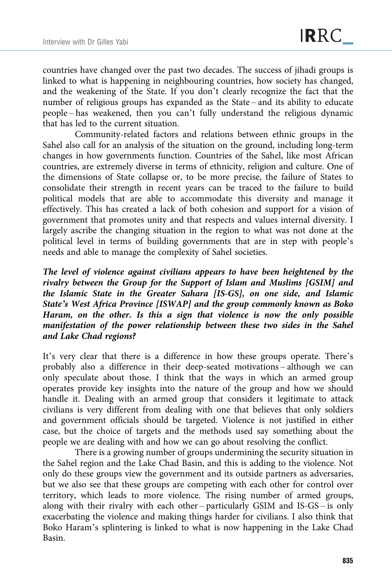countries have changed over the past two decades. The success of jihadi groups is linked to what is happening in neighbouring countries, how society has changed, and the weakening of the State. If you don't clearly recognize the fact that the number of religious groups has expanded as the State – and its ability to educate people – has weakened, then you can't fully understand the religious dynamic that has led to the current situation.

Community-related factors and relations between ethnic groups in the Sahel also call for an analysis of the situation on the ground, including long-term changes in how governments function. Countries of the Sahel, like most African countries, are extremely diverse in terms of ethnicity, religion and culture. One of the dimensions of State collapse or, to be more precise, the failure of States to consolidate their strength in recent years can be traced to the failure to build political models that are able to accommodate this diversity and manage it effectively. This has created a lack of both cohesion and support for a vision of government that promotes unity and that respects and values internal diversity. I largely ascribe the changing situation in the region to what was not done at the political level in terms of building governments that are in step with people's needs and able to manage the complexity of Sahel societies.

The level of violence against civilians appears to have been heightened by the rivalry between the Group for the Support of Islam and Muslims [GSIM] and the Islamic State in the Greater Sahara [IS-GS], on one side, and Islamic State's West Africa Province [ISWAP] and the group commonly known as Boko Haram, on the other. Is this a sign that violence is now the only possible manifestation of the power relationship between these two sides in the Sahel and Lake Chad regions?

It's very clear that there is a difference in how these groups operate. There's probably also a difference in their deep-seated motivations – although we can only speculate about those. I think that the ways in which an armed group operates provide key insights into the nature of the group and how we should handle it. Dealing with an armed group that considers it legitimate to attack civilians is very different from dealing with one that believes that only soldiers and government officials should be targeted. Violence is not justified in either case, but the choice of targets and the methods used say something about the people we are dealing with and how we can go about resolving the conflict.

There is a growing number of groups undermining the security situation in the Sahel region and the Lake Chad Basin, and this is adding to the violence. Not only do these groups view the government and its outside partners as adversaries, but we also see that these groups are competing with each other for control over territory, which leads to more violence. The rising number of armed groups, along with their rivalry with each other – particularly GSIM and IS-GS – is only exacerbating the violence and making things harder for civilians. I also think that Boko Haram's splintering is linked to what is now happening in the Lake Chad Basin.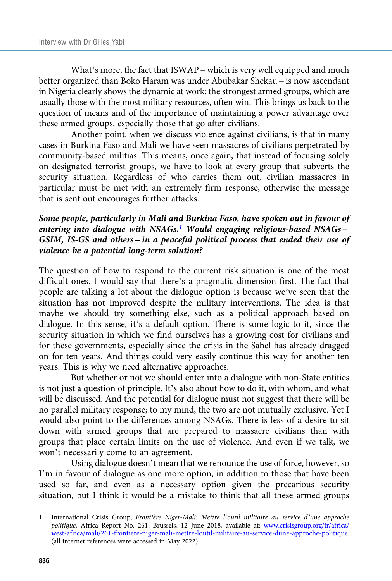What's more, the fact that ISWAP – which is very well equipped and much better organized than Boko Haram was under Abubakar Shekau – is now ascendant in Nigeria clearly shows the dynamic at work: the strongest armed groups, which are usually those with the most military resources, often win. This brings us back to the question of means and of the importance of maintaining a power advantage over these armed groups, especially those that go after civilians.

Another point, when we discuss violence against civilians, is that in many cases in Burkina Faso and Mali we have seen massacres of civilians perpetrated by community-based militias. This means, once again, that instead of focusing solely on designated terrorist groups, we have to look at every group that subverts the security situation. Regardless of who carries them out, civilian massacres in particular must be met with an extremely firm response, otherwise the message that is sent out encourages further attacks.

# Some people, particularly in Mali and Burkina Faso, have spoken out in favour of entering into dialogue with NSAGs.<sup>1</sup> Would engaging religious-based NSAGs – GSIM, IS-GS and others – in a peaceful political process that ended their use of violence be a potential long-term solution?

The question of how to respond to the current risk situation is one of the most difficult ones. I would say that there's a pragmatic dimension first. The fact that people are talking a lot about the dialogue option is because we've seen that the situation has not improved despite the military interventions. The idea is that maybe we should try something else, such as a political approach based on dialogue. In this sense, it's a default option. There is some logic to it, since the security situation in which we find ourselves has a growing cost for civilians and for these governments, especially since the crisis in the Sahel has already dragged on for ten years. And things could very easily continue this way for another ten years. This is why we need alternative approaches.

But whether or not we should enter into a dialogue with non-State entities is not just a question of principle. It's also about how to do it, with whom, and what will be discussed. And the potential for dialogue must not suggest that there will be no parallel military response; to my mind, the two are not mutually exclusive. Yet I would also point to the differences among NSAGs. There is less of a desire to sit down with armed groups that are prepared to massacre civilians than with groups that place certain limits on the use of violence. And even if we talk, we won't necessarily come to an agreement.

Using dialogue doesn't mean that we renounce the use of force, however, so I'm in favour of dialogue as one more option, in addition to those that have been used so far, and even as a necessary option given the precarious security situation, but I think it would be a mistake to think that all these armed groups

<sup>1</sup> International Crisis Group, Frontière Niger-Mali: Mettre l'outil militaire au service d'une approche politique, Africa Report No. 261, Brussels, 12 June 2018, available at: [www.crisisgroup.org/fr/africa/](https://www.crisisgroup.org/fr/africa/west-africa/mali/261-frontiere-niger-mali-mettre-loutil-militaire-au-service-dune-approche-politique) [west-africa/mali/261-frontiere-niger-mali-mettre-loutil-militaire-au-service-dune-approche-politique](https://www.crisisgroup.org/fr/africa/west-africa/mali/261-frontiere-niger-mali-mettre-loutil-militaire-au-service-dune-approche-politique) (all internet references were accessed in May 2022).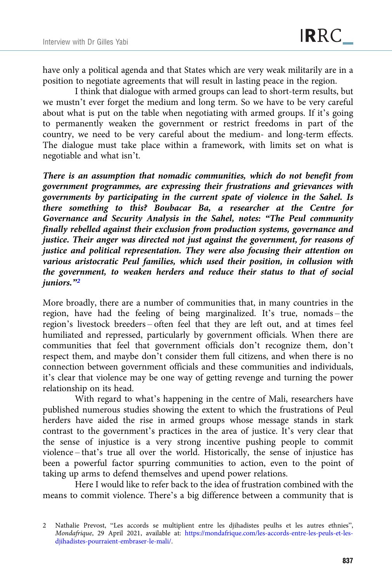have only a political agenda and that States which are very weak militarily are in a position to negotiate agreements that will result in lasting peace in the region.

I think that dialogue with armed groups can lead to short-term results, but we mustn't ever forget the medium and long term. So we have to be very careful about what is put on the table when negotiating with armed groups. If it's going to permanently weaken the government or restrict freedoms in part of the country, we need to be very careful about the medium- and long-term effects. The dialogue must take place within a framework, with limits set on what is negotiable and what isn't.

There is an assumption that nomadic communities, which do not benefit from government programmes, are expressing their frustrations and grievances with governments by participating in the current spate of violence in the Sahel. Is there something to this? Boubacar Ba, a researcher at the Centre for Governance and Security Analysis in the Sahel, notes: "The Peul community finally rebelled against their exclusion from production systems, governance and justice. Their anger was directed not just against the government, for reasons of justice and political representation. They were also focusing their attention on various aristocratic Peul families, which used their position, in collusion with the government, to weaken herders and reduce their status to that of social juniors."<sup>2</sup>

More broadly, there are a number of communities that, in many countries in the region, have had the feeling of being marginalized. It's true, nomads – the region's livestock breeders – often feel that they are left out, and at times feel humiliated and repressed, particularly by government officials. When there are communities that feel that government officials don't recognize them, don't respect them, and maybe don't consider them full citizens, and when there is no connection between government officials and these communities and individuals, it's clear that violence may be one way of getting revenge and turning the power relationship on its head.

With regard to what's happening in the centre of Mali, researchers have published numerous studies showing the extent to which the frustrations of Peul herders have aided the rise in armed groups whose message stands in stark contrast to the government's practices in the area of justice. It's very clear that the sense of injustice is a very strong incentive pushing people to commit violence – that's true all over the world. Historically, the sense of injustice has been a powerful factor spurring communities to action, even to the point of taking up arms to defend themselves and upend power relations.

Here I would like to refer back to the idea of frustration combined with the means to commit violence. There's a big difference between a community that is

<sup>2</sup> Nathalie Prevost, "Les accords se multiplient entre les djihadistes peulhs et les autres ethnies", Mondafrique, 29 April 2021, available at: [https://mondafrique.com/les-accords-entre-les-peuls-et-les](https://mondafrique.com/les-accords-entre-les-peuls-et-les-djihadistes-pourraient-embraser-le-mali/)[djihadistes-pourraient-embraser-le-mali/.](https://mondafrique.com/les-accords-entre-les-peuls-et-les-djihadistes-pourraient-embraser-le-mali/)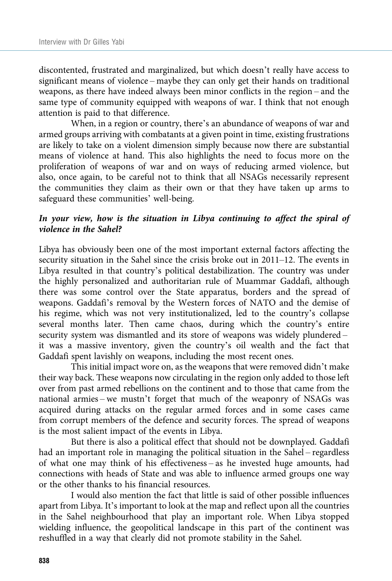discontented, frustrated and marginalized, but which doesn't really have access to significant means of violence – maybe they can only get their hands on traditional weapons, as there have indeed always been minor conflicts in the region – and the same type of community equipped with weapons of war. I think that not enough attention is paid to that difference.

When, in a region or country, there's an abundance of weapons of war and armed groups arriving with combatants at a given point in time, existing frustrations are likely to take on a violent dimension simply because now there are substantial means of violence at hand. This also highlights the need to focus more on the proliferation of weapons of war and on ways of reducing armed violence, but also, once again, to be careful not to think that all NSAGs necessarily represent the communities they claim as their own or that they have taken up arms to safeguard these communities' well-being.

## In your view, how is the situation in Libya continuing to affect the spiral of violence in the Sahel?

Libya has obviously been one of the most important external factors affecting the security situation in the Sahel since the crisis broke out in 2011–12. The events in Libya resulted in that country's political destabilization. The country was under the highly personalized and authoritarian rule of Muammar Gaddafi, although there was some control over the State apparatus, borders and the spread of weapons. Gaddafi's removal by the Western forces of NATO and the demise of his regime, which was not very institutionalized, led to the country's collapse several months later. Then came chaos, during which the country's entire security system was dismantled and its store of weapons was widely plundered – it was a massive inventory, given the country's oil wealth and the fact that Gaddafi spent lavishly on weapons, including the most recent ones.

This initial impact wore on, as the weapons that were removed didn't make their way back. These weapons now circulating in the region only added to those left over from past armed rebellions on the continent and to those that came from the national armies – we mustn't forget that much of the weaponry of NSAGs was acquired during attacks on the regular armed forces and in some cases came from corrupt members of the defence and security forces. The spread of weapons is the most salient impact of the events in Libya.

But there is also a political effect that should not be downplayed. Gaddafi had an important role in managing the political situation in the Sahel – regardless of what one may think of his effectiveness – as he invested huge amounts, had connections with heads of State and was able to influence armed groups one way or the other thanks to his financial resources.

I would also mention the fact that little is said of other possible influences apart from Libya. It's important to look at the map and reflect upon all the countries in the Sahel neighbourhood that play an important role. When Libya stopped wielding influence, the geopolitical landscape in this part of the continent was reshuffled in a way that clearly did not promote stability in the Sahel.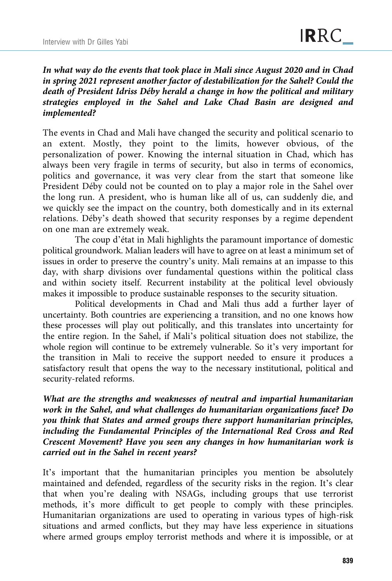In what way do the events that took place in Mali since August 2020 and in Chad in spring 2021 represent another factor of destabilization for the Sahel? Could the death of President Idriss Déby herald a change in how the political and military strategies employed in the Sahel and Lake Chad Basin are designed and implemented?

The events in Chad and Mali have changed the security and political scenario to an extent. Mostly, they point to the limits, however obvious, of the personalization of power. Knowing the internal situation in Chad, which has always been very fragile in terms of security, but also in terms of economics, politics and governance, it was very clear from the start that someone like President Déby could not be counted on to play a major role in the Sahel over the long run. A president, who is human like all of us, can suddenly die, and we quickly see the impact on the country, both domestically and in its external relations. Déby's death showed that security responses by a regime dependent on one man are extremely weak.

The coup d'état in Mali highlights the paramount importance of domestic political groundwork. Malian leaders will have to agree on at least a minimum set of issues in order to preserve the country's unity. Mali remains at an impasse to this day, with sharp divisions over fundamental questions within the political class and within society itself. Recurrent instability at the political level obviously makes it impossible to produce sustainable responses to the security situation.

Political developments in Chad and Mali thus add a further layer of uncertainty. Both countries are experiencing a transition, and no one knows how these processes will play out politically, and this translates into uncertainty for the entire region. In the Sahel, if Mali's political situation does not stabilize, the whole region will continue to be extremely vulnerable. So it's very important for the transition in Mali to receive the support needed to ensure it produces a satisfactory result that opens the way to the necessary institutional, political and security-related reforms.

What are the strengths and weaknesses of neutral and impartial humanitarian work in the Sahel, and what challenges do humanitarian organizations face? Do you think that States and armed groups there support humanitarian principles, including the Fundamental Principles of the International Red Cross and Red Crescent Movement? Have you seen any changes in how humanitarian work is carried out in the Sahel in recent years?

It's important that the humanitarian principles you mention be absolutely maintained and defended, regardless of the security risks in the region. It's clear that when you're dealing with NSAGs, including groups that use terrorist methods, it's more difficult to get people to comply with these principles. Humanitarian organizations are used to operating in various types of high-risk situations and armed conflicts, but they may have less experience in situations where armed groups employ terrorist methods and where it is impossible, or at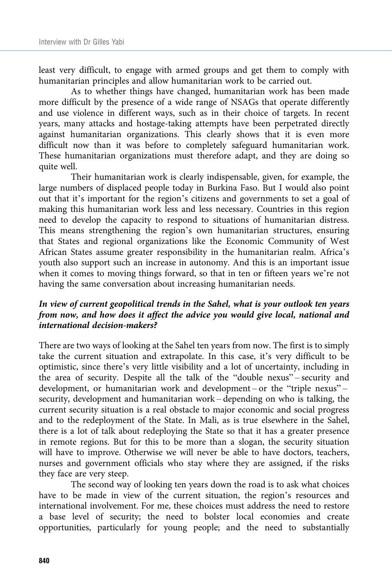least very difficult, to engage with armed groups and get them to comply with humanitarian principles and allow humanitarian work to be carried out.

As to whether things have changed, humanitarian work has been made more difficult by the presence of a wide range of NSAGs that operate differently and use violence in different ways, such as in their choice of targets. In recent years, many attacks and hostage-taking attempts have been perpetrated directly against humanitarian organizations. This clearly shows that it is even more difficult now than it was before to completely safeguard humanitarian work. These humanitarian organizations must therefore adapt, and they are doing so quite well.

Their humanitarian work is clearly indispensable, given, for example, the large numbers of displaced people today in Burkina Faso. But I would also point out that it's important for the region's citizens and governments to set a goal of making this humanitarian work less and less necessary. Countries in this region need to develop the capacity to respond to situations of humanitarian distress. This means strengthening the region's own humanitarian structures, ensuring that States and regional organizations like the Economic Community of West African States assume greater responsibility in the humanitarian realm. Africa's youth also support such an increase in autonomy. And this is an important issue when it comes to moving things forward, so that in ten or fifteen years we're not having the same conversation about increasing humanitarian needs.

# In view of current geopolitical trends in the Sahel, what is your outlook ten years from now, and how does it affect the advice you would give local, national and international decision-makers?

There are two ways of looking at the Sahel ten years from now. The first is to simply take the current situation and extrapolate. In this case, it's very difficult to be optimistic, since there's very little visibility and a lot of uncertainty, including in the area of security. Despite all the talk of the "double nexus" – security and development, or humanitarian work and development – or the "triple nexus" – security, development and humanitarian work – depending on who is talking, the current security situation is a real obstacle to major economic and social progress and to the redeployment of the State. In Mali, as is true elsewhere in the Sahel, there is a lot of talk about redeploying the State so that it has a greater presence in remote regions. But for this to be more than a slogan, the security situation will have to improve. Otherwise we will never be able to have doctors, teachers, nurses and government officials who stay where they are assigned, if the risks they face are very steep.

The second way of looking ten years down the road is to ask what choices have to be made in view of the current situation, the region's resources and international involvement. For me, these choices must address the need to restore a base level of security; the need to bolster local economies and create opportunities, particularly for young people; and the need to substantially